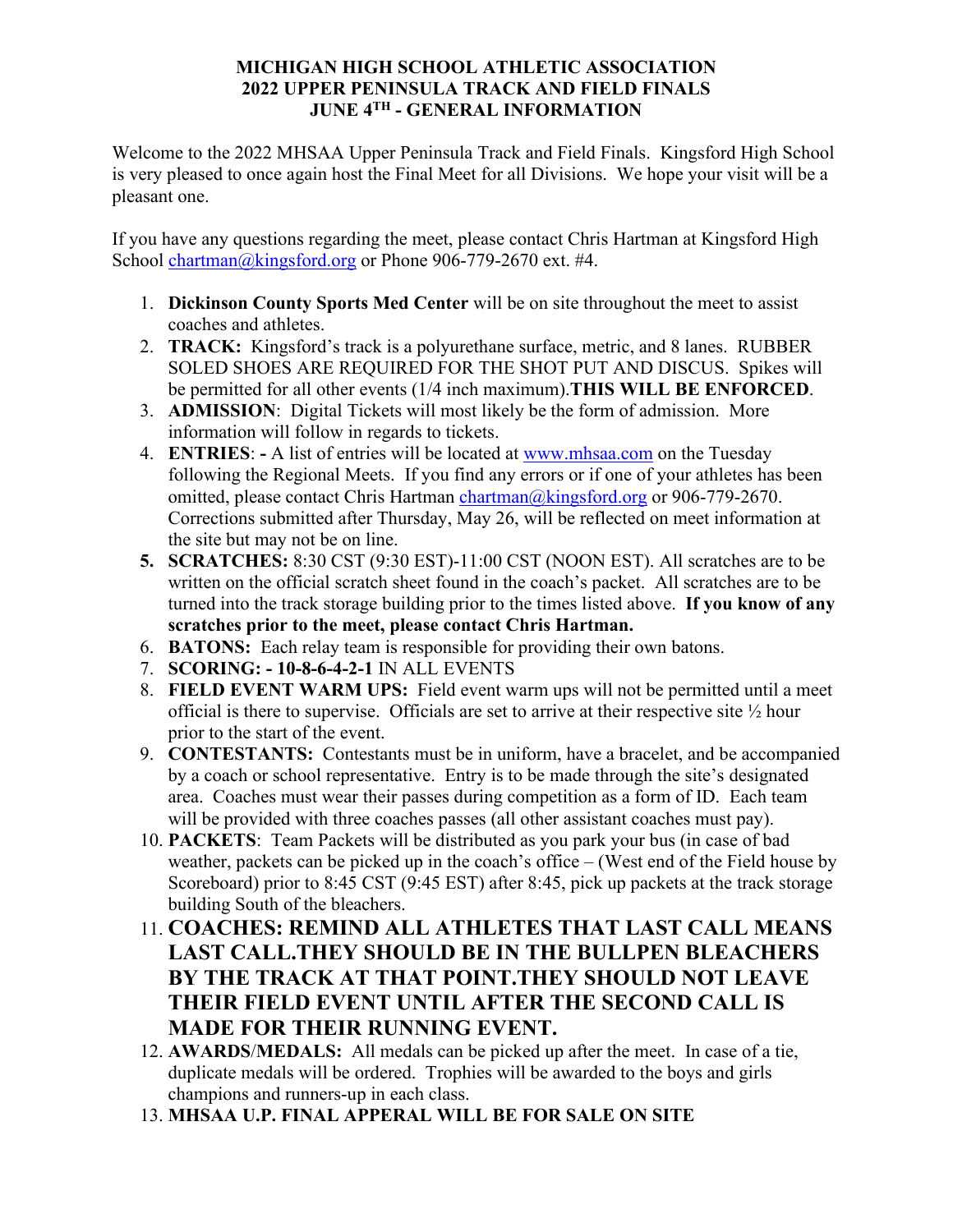### **MICHIGAN HIGH SCHOOL ATHLETIC ASSOCIATION 2022 UPPER PENINSULA TRACK AND FIELD FINALS JUNE 4TH - GENERAL INFORMATION**

Welcome to the 2022 MHSAA Upper Peninsula Track and Field Finals. Kingsford High School is very pleased to once again host the Final Meet for all Divisions. We hope your visit will be a pleasant one.

If you have any questions regarding the meet, please contact Chris Hartman at Kingsford High School [chartman@kingsford.org](mailto:chartman@kingsford.org) or Phone 906-779-2670 ext. #4.

- 1. **Dickinson County Sports Med Center** will be on site throughout the meet to assist coaches and athletes.
- 2. **TRACK:** Kingsford's track is a polyurethane surface, metric, and 8 lanes. RUBBER SOLED SHOES ARE REQUIRED FOR THE SHOT PUT AND DISCUS. Spikes will be permitted for all other events (1/4 inch maximum).**THIS WILL BE ENFORCED**.
- 3. **ADMISSION**: Digital Tickets will most likely be the form of admission. More information will follow in regards to tickets.
- 4. **ENTRIES**:A list of entries will be located at [www.mhsaa.com](http://www.mhsaa.com/) on the Tuesday following the Regional Meets. If you find any errors or if one of your athletes has been omitted, please contact Chris Hartman [chartman@kingsford.org](mailto:chartman@kingsford.org) or 906-779-2670. Corrections submitted after Thursday, May 26, will be reflected on meet information at the site but may not be on line.
- **5. SCRATCHES:** 8:30 CST (9:30 EST)-11:00 CST (NOON EST). All scratches are to be written on the official scratch sheet found in the coach's packet. All scratches are to be turned into the track storage building prior to the times listed above. **If you know of any scratches prior to the meet, please contact Chris Hartman.**
- 6. **BATONS:** Each relay team is responsible for providing their own batons.
- 7. **SCORING: 10-8-6-4-2-1** IN ALL EVENTS
- 8. **FIELD EVENT WARM UPS:** Field event warm ups will not be permitted until a meet official is there to supervise. Officials are set to arrive at their respective site ½ hour prior to the start of the event.
- 9. **CONTESTANTS:** Contestants must be in uniform, have a bracelet, and be accompanied by a coach or school representative. Entry is to be made through the site's designated area. Coaches must wear their passes during competition as a form of ID. Each team will be provided with three coaches passes (all other assistant coaches must pay).
- 10. **PACKETS**: Team Packets will be distributed as you park your bus (in case of bad weather, packets can be picked up in the coach's office – (West end of the Field house by Scoreboard) prior to 8:45 CST (9:45 EST) after 8:45, pick up packets at the track storage building South of the bleachers.
- 11. **COACHES: REMIND ALL ATHLETES THAT LAST CALL MEANS LAST CALL.THEY SHOULD BE IN THE BULLPEN BLEACHERS BY THE TRACK AT THAT POINT.THEY SHOULD NOT LEAVE THEIR FIELD EVENT UNTIL AFTER THE SECOND CALL IS MADE FOR THEIR RUNNING EVENT.**
- 12. **AWARDS**/**MEDALS:** All medals can be picked up after the meet. In case of a tie, duplicate medals will be ordered. Trophies will be awarded to the boys and girls champions and runners-up in each class.
- 13. **MHSAA U.P. FINAL APPERAL WILL BE FOR SALE ON SITE**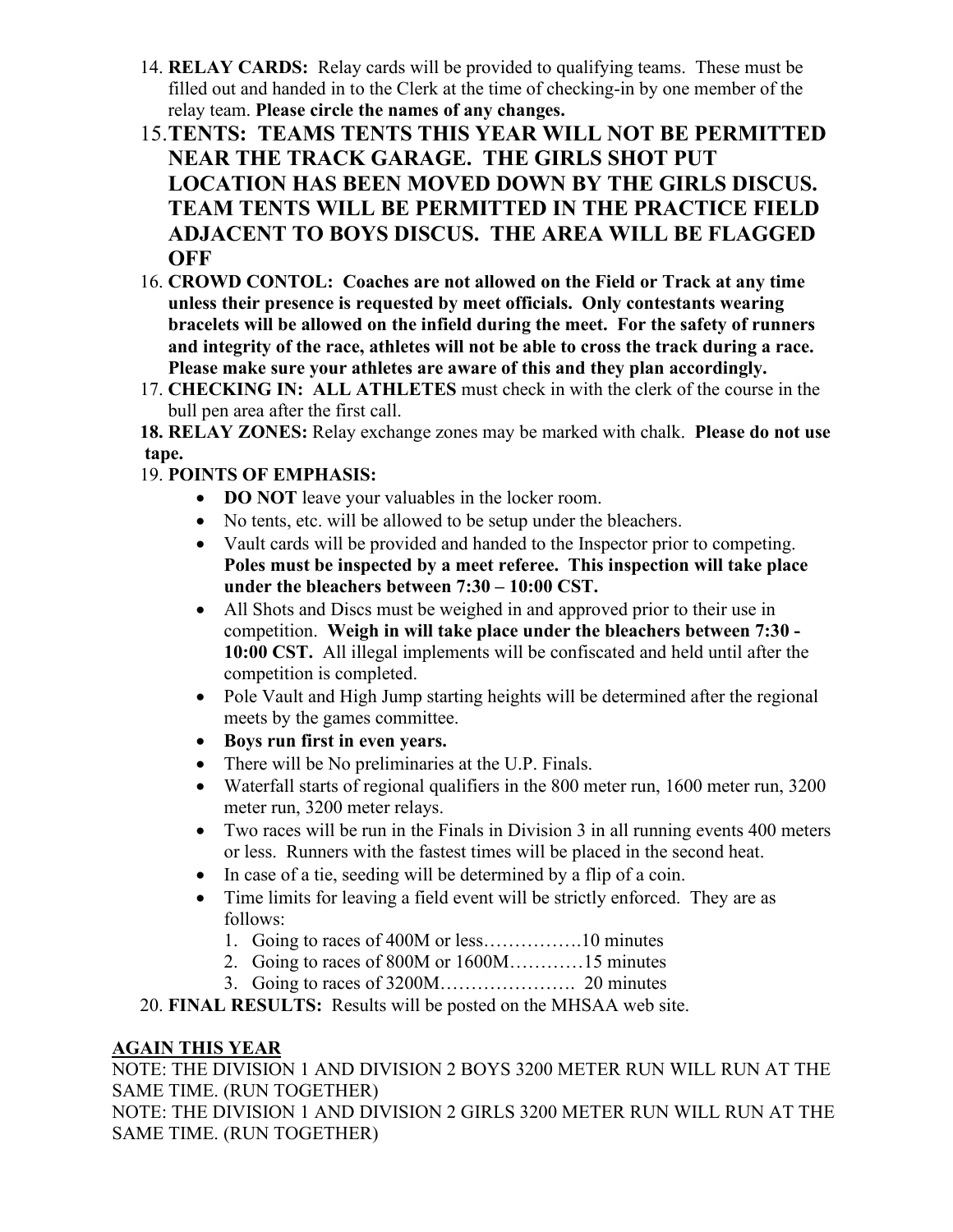- 14. **RELAY CARDS:** Relay cards will be provided to qualifying teams. These must be filled out and handed in to the Clerk at the time of checking-in by one member of the relay team. **Please circle the names of any changes.**
- 15.**TENTS: TEAMS TENTS THIS YEAR WILL NOT BE PERMITTED NEAR THE TRACK GARAGE. THE GIRLS SHOT PUT LOCATION HAS BEEN MOVED DOWN BY THE GIRLS DISCUS. TEAM TENTS WILL BE PERMITTED IN THE PRACTICE FIELD ADJACENT TO BOYS DISCUS. THE AREA WILL BE FLAGGED OFF**
- 16. **CROWD CONTOL: Coaches are not allowed on the Field or Track at any time unless their presence is requested by meet officials. Only contestants wearing bracelets will be allowed on the infield during the meet. For the safety of runners and integrity of the race, athletes will not be able to cross the track during a race. Please make sure your athletes are aware of this and they plan accordingly.**
- 17. **CHECKING IN: ALL ATHLETES** must check in with the clerk of the course in the bull pen area after the first call.

**18. RELAY ZONES:** Relay exchange zones may be marked with chalk. **Please do not use tape.**

## 19. **POINTS OF EMPHASIS:**

- **DO NOT** leave your valuables in the locker room.
- No tents, etc. will be allowed to be setup under the bleachers.
- Vault cards will be provided and handed to the Inspector prior to competing. **Poles must be inspected by a meet referee. This inspection will take place under the bleachers between 7:30 – 10:00 CST.**
- All Shots and Discs must be weighed in and approved prior to their use in competition. **Weigh in will take place under the bleachers between 7:30 - 10:00 CST.** All illegal implements will be confiscated and held until after the competition is completed.
- Pole Vault and High Jump starting heights will be determined after the regional meets by the games committee.
- **Boys run first in even years.**
- There will be No preliminaries at the U.P. Finals.
- Waterfall starts of regional qualifiers in the 800 meter run, 1600 meter run, 3200 meter run, 3200 meter relays.
- Two races will be run in the Finals in Division 3 in all running events 400 meters or less. Runners with the fastest times will be placed in the second heat.
- In case of a tie, seeding will be determined by a flip of a coin.
- Time limits for leaving a field event will be strictly enforced. They are as follows:
	- 1. Going to races of 400M or less…………….10 minutes
	- 2. Going to races of 800M or 1600M…………15 minutes
	- 3. Going to races of 3200M…………………. 20 minutes
- 20. **FINAL RESULTS:** Results will be posted on the MHSAA web site.

### **AGAIN THIS YEAR**

NOTE: THE DIVISION 1 AND DIVISION 2 BOYS 3200 METER RUN WILL RUN AT THE SAME TIME. (RUN TOGETHER) NOTE: THE DIVISION 1 AND DIVISION 2 GIRLS 3200 METER RUN WILL RUN AT THE SAME TIME. (RUN TOGETHER)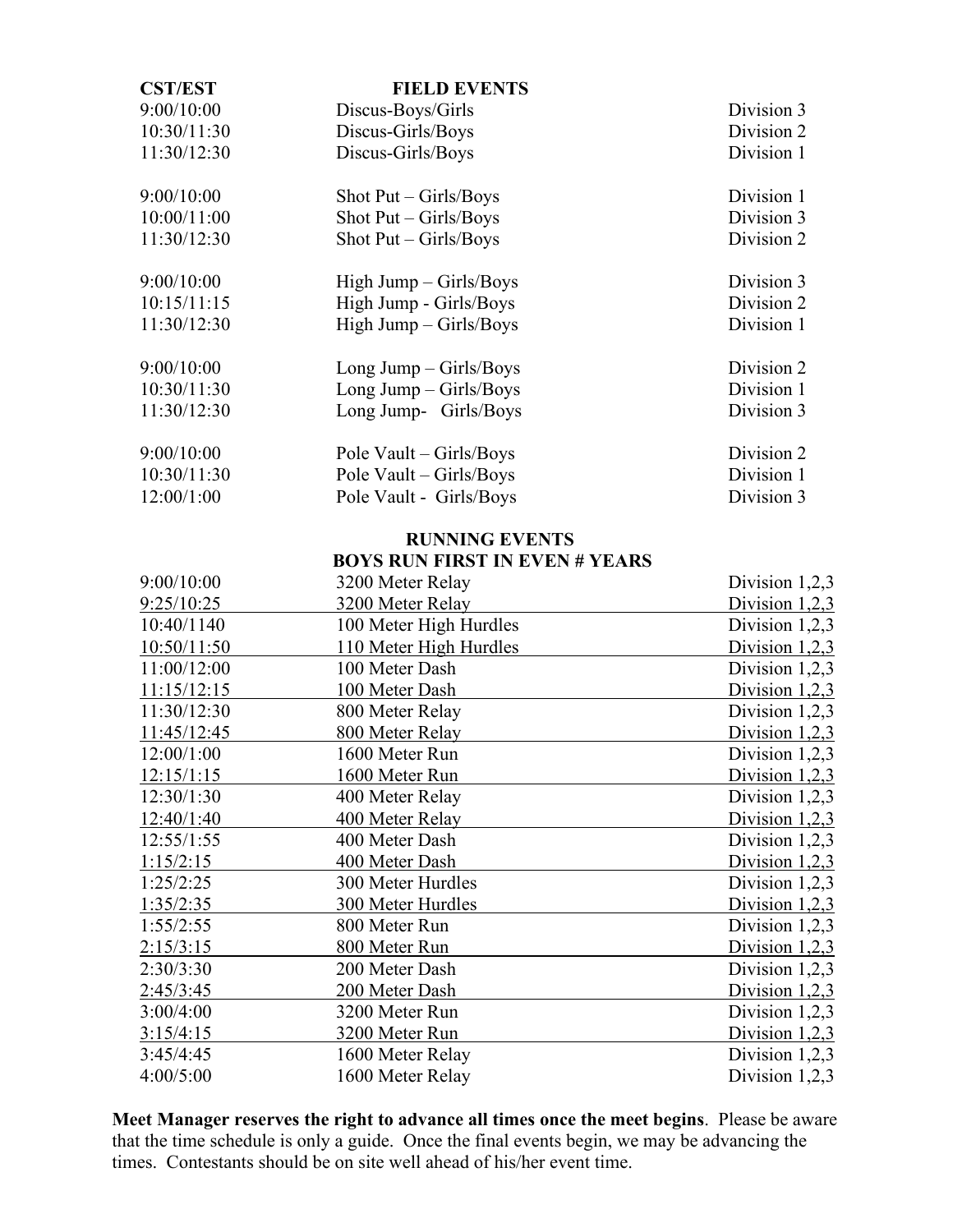| <b>CST/EST</b> | <b>FIELD EVENTS</b>           |            |
|----------------|-------------------------------|------------|
| 9:00/10:00     | Discus-Boys/Girls             | Division 3 |
| 10:30/11:30    | Discus-Girls/Boys             | Division 2 |
| 11:30/12:30    | Discus-Girls/Boys             | Division 1 |
| 9:00/10:00     | Shot $Put - Girls/Boys$       | Division 1 |
| 10:00/11:00    | Shot $Put - Girls/Boys$       | Division 3 |
| 11:30/12:30    | Shot $Put - Girls/Boys$       | Division 2 |
| 9:00/10:00     | $High \, Jump - Girls / Boys$ | Division 3 |
| 10:15/11:15    | High Jump - Girls/Boys        | Division 2 |
| 11:30/12:30    | High Jump - Girls/Boys        | Division 1 |
| 9:00/10:00     | Long Jump $-$ Girls/Boys      | Division 2 |
| 10:30/11:30    | Long Jump $-$ Girls/Boys      | Division 1 |
| 11:30/12:30    | Long Jump- Girls/Boys         | Division 3 |
| 9:00/10:00     | Pole Vault – Girls/Boys       | Division 2 |
| 10:30/11:30    | Pole Vault – Girls/Boys       | Division 1 |
| 12:00/1:00     | Pole Vault - Girls/Boys       | Division 3 |

#### **RUNNING EVENTS BOYS RUN FIRST IN EVEN # YEARS**

| 9:00/10:00  | 3200 Meter Relay       | Division $1,2,3$ |
|-------------|------------------------|------------------|
| 9:25/10:25  | 3200 Meter Relay       | Division $1,2,3$ |
| 10:40/1140  | 100 Meter High Hurdles | Division $1,2,3$ |
| 10:50/11:50 | 110 Meter High Hurdles | Division $1,2,3$ |
| 11:00/12:00 | 100 Meter Dash         | Division 1,2,3   |
| 11:15/12:15 | 100 Meter Dash         | Division 1,2,3   |
| 11:30/12:30 | 800 Meter Relay        | Division $1,2,3$ |
| 11:45/12:45 | 800 Meter Relay        | Division $1,2,3$ |
| 12:00/1:00  | 1600 Meter Run         | Division $1,2,3$ |
| 12:15/1:15  | 1600 Meter Run         | Division $1,2,3$ |
| 12:30/1:30  | 400 Meter Relay        | Division $1,2,3$ |
| 12:40/1:40  | 400 Meter Relay        | Division $1,2,3$ |
| 12:55/1:55  | 400 Meter Dash         | Division $1,2,3$ |
| 1:15/2:15   | 400 Meter Dash         | Division $1,2,3$ |
| 1:25/2:25   | 300 Meter Hurdles      | Division $1,2,3$ |
| 1:35/2:35   | 300 Meter Hurdles      | Division $1,2,3$ |
| 1:55/2:55   | 800 Meter Run          | Division 1,2,3   |
| 2:15/3:15   | 800 Meter Run          | Division $1,2,3$ |
| 2:30/3:30   | 200 Meter Dash         | Division 1,2,3   |
| 2:45/3:45   | 200 Meter Dash         | Division $1,2,3$ |
| 3:00/4:00   | 3200 Meter Run         | Division $1,2,3$ |
| 3:15/4:15   | 3200 Meter Run         | Division $1,2,3$ |
| 3:45/4:45   | 1600 Meter Relay       | Division $1,2,3$ |
| 4:00/5:00   | 1600 Meter Relay       | Division 1,2,3   |

**Meet Manager reserves the right to advance all times once the meet begins**. Please be aware that the time schedule is only a guide. Once the final events begin, we may be advancing the times. Contestants should be on site well ahead of his/her event time.